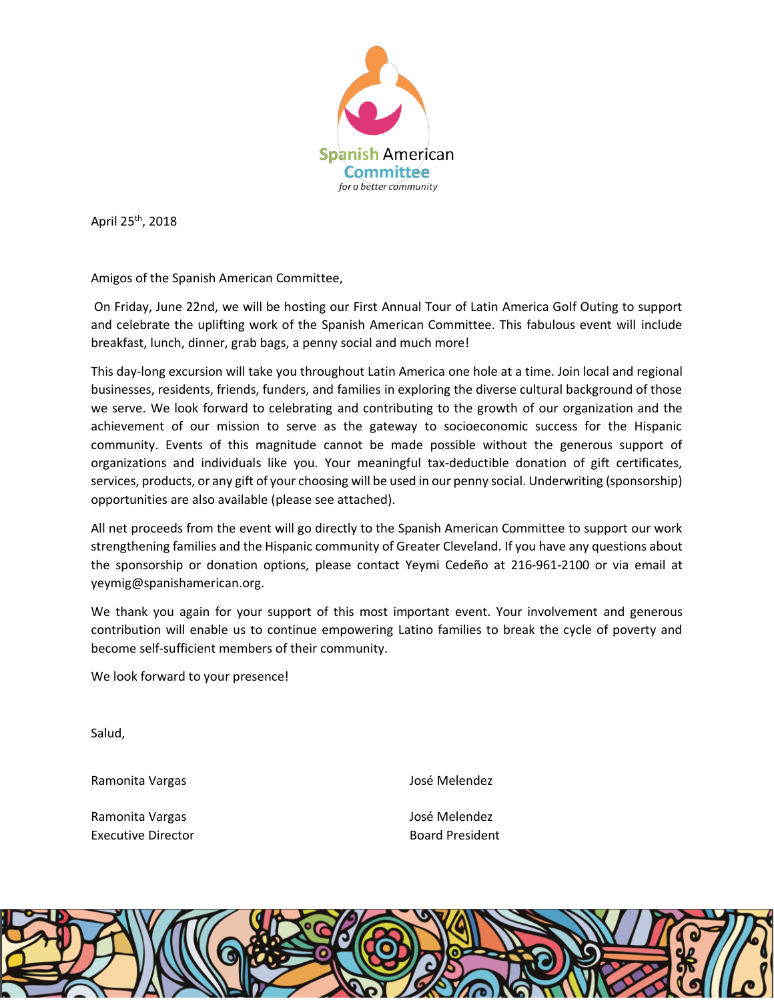

April 25th, 2018

Amigos of the Spanish American Committee,

On Friday, June 22nd, we will be hosting our First Annual Tour of Latin America Golf Outing to support and celebrate the uplifting work of the Spanish American Committee. This fabulous event will include breakfast, lunch, dinner, grab bags, a penny social and much more!

This day-long excursion will take you throughout Latin America one hole at a time. Join local and regional businesses, residents, friends, funders, and families in exploring the diverse cultural background of those we serve. We look forward to celebrating and contributing to the growth of our organization and the achievement of our mission to serve as the gateway to socioeconomic success for the Hispanic community. Events of this magnitude cannot be made possible without the generous support of organizations and individuals like you. Your meaningful tax-deductible donation of gift certificates, services, products, or any gift of your choosing will be used in our penny social. Underwriting (sponsorship) opportunities are also available (please see attached).

All net proceeds from the event will go directly to the Spanish American Committee to support our work strengthening families and the Hispanic community of Greater Cleveland. If you have any questions about the sponsorship or donation options, please contact Yeymi Cedeño at 216-961-2100 or via email at yeymig@spanishamerican.org.

We thank you again for your support of this most important event. Your involvement and generous contribution will enable us to continue empowering Latino families to break the cycle of poverty and become self-sufficient members of their community.

We look forward to your presence!

Salud,

Ramonita Vargas

Ramonita Vargas Executive Director José Melendez

José Melendez Board President

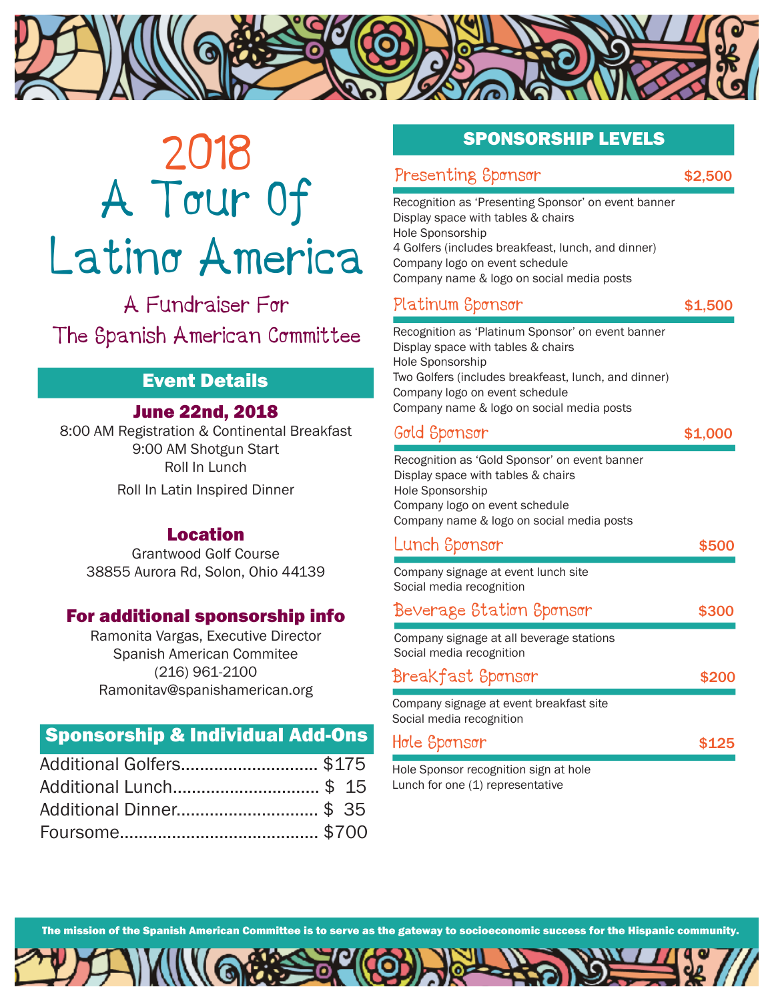

# 2018 A Tour Of Latino America

A Fundraiser For The Spanish American Committee

# Event Details

#### June 22nd, 2018

8:00 AM Registration & Continental Breakfast 9:00 AM Shotgun Start Roll In Lunch Roll In Latin Inspired Dinner

#### Location

Grantwood Golf Course 38855 Aurora Rd, Solon, Ohio 44139

#### For additional sponsorship info

Ramonita Vargas, Executive Director Spanish American Commitee (216) 961-2100 Ramonitav@spanishamerican.org

# Sponsorship & Individual Add-Ons

| Additional Golfers \$175 |  |
|--------------------------|--|
| Additional Lunch \$ 15   |  |
| Additional Dinner \$ 35  |  |
|                          |  |

# SPONSORSHIP LEVELS

| Presenting Sponsor | \$2,500 |
|--------------------|---------|
|                    |         |

Recognition as 'Presenting Sponsor' on event banner Display space with tables & chairs Hole Sponsorship 4 Golfers (includes breakfeast, lunch, and dinner) Company logo on event schedule Company name & logo on social media posts

# Platinum Sponsor **\$1,500**

Recognition as 'Platinum Sponsor' on event banner Display space with tables & chairs Hole Sponsorship Two Golfers (includes breakfeast, lunch, and dinner) Company logo on event schedule Company name & logo on social media posts

#### Gold Sponsor \$1,000

Recognition as 'Gold Sponsor' on event banner Display space with tables & chairs Hole Sponsorship Company logo on event schedule Company name & logo on social media posts

| Lunch Sponsor                                                        | \$5( |
|----------------------------------------------------------------------|------|
| Company signage at event lunch site<br>Social media recognition      |      |
| Beverage Station Sponsor                                             | \$30 |
| Company signage at all beverage stations<br>Social media recognition |      |
| Breakfast Spønsør                                                    | \$20 |
| Company signage at event breakfast site<br>Social media recognition  |      |
| Hole Sponsor                                                         |      |

Hole Sponsor recognition sign at hole Lunch for one (1) representative

The mission of the Spanish American Committee is to serve as the gateway to socioeconomic success for the Hispanic community.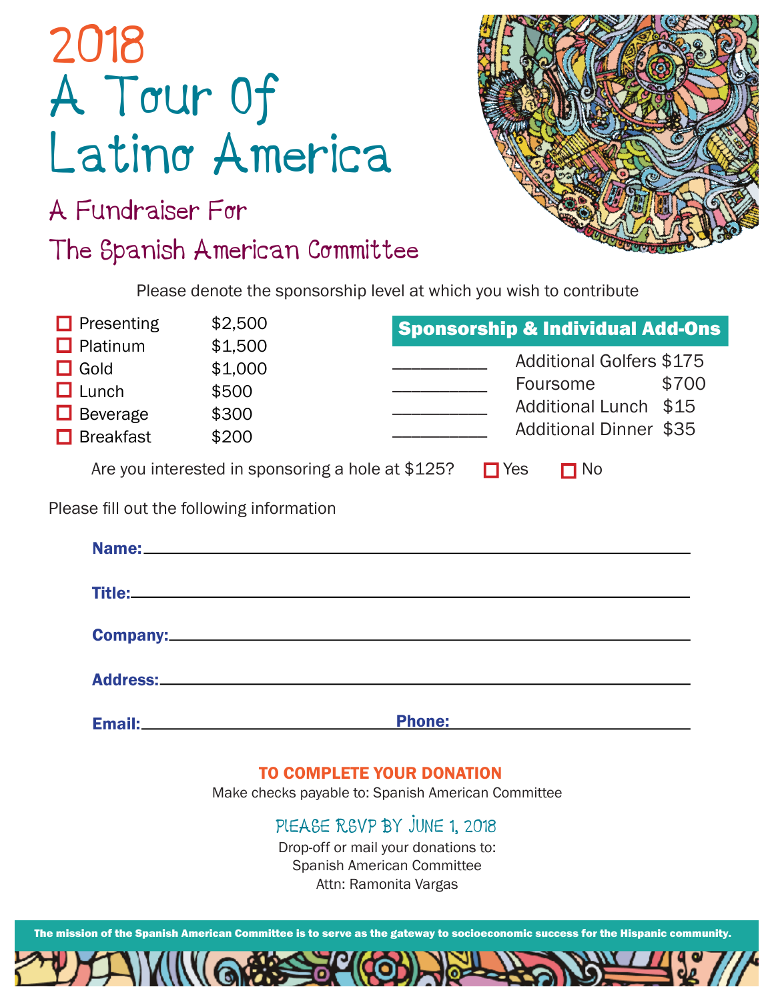| 2018 |                |
|------|----------------|
|      | A Tour Of      |
|      | Latino America |

A Fundraiser For

The Spanish American Committee



Please denote the sponsorship level at which you wish to contribute

| $\Box$ Presenting                                                                     | \$2,500                                           |                    | <b>Sponsorship &amp; Individual Add-Ons</b>                                                           |       |
|---------------------------------------------------------------------------------------|---------------------------------------------------|--------------------|-------------------------------------------------------------------------------------------------------|-------|
| $\Box$ Platinum<br>$\Box$ Gold<br>$\Box$ Lunch<br>$\Box$ Beverage<br>$\Box$ Breakfast | \$1,500<br>\$1,000<br>\$500<br>\$300<br>\$200     |                    | <b>Additional Golfers \$175</b><br>Foursome<br>Additional Lunch \$15<br><b>Additional Dinner \$35</b> | \$700 |
|                                                                                       | Are you interested in sponsoring a hole at \$125? | $\blacksquare$ Yes | $\blacksquare$ No                                                                                     |       |

Please fill out the following information

| Address: No. 2016. The Contract of the Contract of the Contract of the Contract of the Contract of the Contract of the Contract of the Contract of the Contract of the Contract of the Contract of the Contract of the Contrac |                                                    |
|--------------------------------------------------------------------------------------------------------------------------------------------------------------------------------------------------------------------------------|----------------------------------------------------|
| <b>Phone:</b>                                                                                                                                                                                                                  | <u> 1989 - Johann Barbara, martxa amerikan per</u> |
|                                                                                                                                                                                                                                |                                                    |

### TO COMPLETE YOUR DONATION

Make checks payable to: Spanish American Committee

PlEASE RSVP BY JUNE 1, 2018

Drop-off or mail your donations to: Spanish American Committee Attn: Ramonita Vargas

The mission of the Spanish American Committee is to serve as the gateway to socioeconomic success for the Hispanic community.